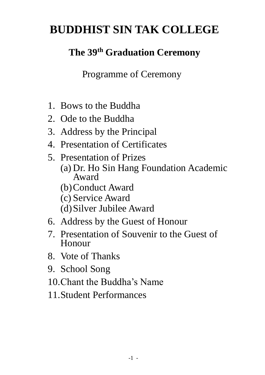# **BUDDHIST SIN TAK COLLEGE**

## **The 39 th Graduation Ceremony**

Programme of Ceremony

- 1. Bows to the Buddha
- 2. Ode to the Buddha
- 3. Address by the Principal
- 4. Presentation of Certificates
- 5. Presentation of Prizes (a) Dr. Ho Sin Hang Foundation Academic Award (b)Conduct Award
	- (c) Service Award
	-
	- (d)Silver Jubilee Award
- 6. Address by the Guest of Honour
- 7. Presentation of Souvenir to the Guest of Honour
- 8. Vote of Thanks
- 9. School Song
- 10.Chant the Buddha's Name
- 11.Student Performances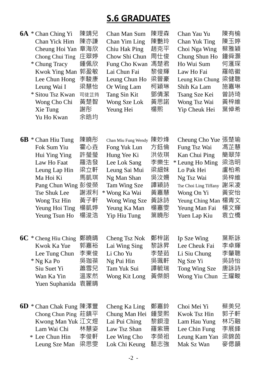### **S.6 GRADUATES**

|    | <b>6A</b> * Chan Ching Yi<br>Chan Yick Him<br>Cheung Hoi Yan<br>Chong Chui Ting<br>* Chung Tracy<br><b>Kwok Ying Man</b><br>Lee Chun Hong<br>Leung Wai I<br>* Sitou Tsz Kwan<br>Wong Cho Chi<br>Xie Tung<br>Yu Ho Kwan | 陳靖兒<br>陳亦謙<br>章海欣<br>庄翠婷<br>鍾佩欣<br>郭盈敏<br>李駿康<br>梁慧怡<br>司徒芷筠<br>黃楚智<br>謝彤<br>余晧均 | Chan Man Sum<br>Chan Yim Ling<br>Chiu Hak Ping<br>Chow Shi Chun<br>Fung Cho Kwan<br>Lai Chun Fai<br>Leung Chun Ho<br>Or Wing Lam<br>Tang Sin Kit<br>Wong Sze Lok<br>Yeung Hei        | 陳琝森<br>陳艷玲<br>趙克平<br>周仕俊<br>馮楚君<br>黎俊輝<br>梁晉豪<br>柯穎琳<br>鄧倩潔<br>黃思諾<br>楊熙  | Chan Yau Yu<br>Chan Yuk Ting<br>Choi Nga Wing<br>Chung Shun Ho<br>Ho Wui Sum<br>Law Ho Fai<br>Leung Kin Chung<br>Shih Ka Lam<br>Tsang Sze Kei<br>Wong Tsz Wai<br>Yip Cheuk Hei                | 陳有榆<br>陳玉婷<br>蔡雅穎<br>鐘舜灝<br>何滙琛<br>羅皓徽<br>梁健聰<br>施嘉琳<br>曾詩琦<br>黃梓維<br>葉倬希 |
|----|------------------------------------------------------------------------------------------------------------------------------------------------------------------------------------------------------------------------|----------------------------------------------------------------------------------|--------------------------------------------------------------------------------------------------------------------------------------------------------------------------------------|---------------------------------------------------------------------------|-----------------------------------------------------------------------------------------------------------------------------------------------------------------------------------------------|---------------------------------------------------------------------------|
|    | $6B * Chan Hiu Tung$<br>Fok Sum Yiu<br>Hui Ying Ying<br>Law Ho Faat<br>Leung Lap Hin<br>Ma Hoi Ki<br>Pang Chun Wing 彭俊榮<br>Tse Shuk Lee<br>Wong Tsz Hin<br>Yeung Hoi Ting<br>Yeung Tsun Ho                             | 陳曉彤<br>霍心垚<br>許瑩瑩<br>羅浩發<br>梁立軒<br>馬凱琪<br>謝淑利<br>黃子軒<br>楊凱婷<br>楊浚浩               | Chan Miu Fung Wendy<br>Fong Yuk Lun<br>Hung Yee Ki<br>Lee Lok Sang<br>Leung Sai Mui<br>Ng Man Shan<br>Tam Wing Sze<br>* Wong Ka Wai<br>Wong Wing Sze<br>Yeung Ka Man<br>Yip Hiu Tung | 陳妙烽<br>方鈺倫<br>洪依琪<br>李樂生<br>梁細妹<br>吳汶姍<br>譚穎詩<br>黃嘉慧<br>黃詠詩<br>楊嘉雯<br>葉曉彤 | Cheung Cho Yue 張楚瑜<br>Fung Tsz Wai<br>Kan Chui Ping<br>* Leung Ho Ming<br>Lo Pak Hei<br>Ng Tsz Wai<br>Tse Choi Ling Tiffany<br>Wong On Yi<br>Yeung Ching Man<br>Yeung Man Fai<br>Yuen Lap Kiu | 馮芷慧<br>簡翠萍<br>梁浩明<br>盧柏希<br>吳梓維<br>謝采凌<br>黃安怡<br>楊青文<br>楊文輝<br>袁立橋        |
|    | $6C *$ Cheng Hiu Ching<br>Kwok Ka Yue<br>Lee Tung Chun<br>* Ng Ka Po<br>Siu Suet Yi<br>Wan Ka Yin<br>Yuen Suphanida                                                                                                    | 鄭曉晴<br>郭嘉裕<br>李東俊<br>吳珈葆<br>蕭雪兒<br>溫家然<br>袁麗晴                                    | Cheng Tsz Nok<br>Lai Wing Sing<br>Li Cho Yu<br>Ng Pui Hin<br>Tam Yuk Sui<br>Wong Kit Long                                                                                            | 鄭梓諾<br>黎詠昇<br>李楚茹<br>吳珮軒<br>譚毓瑞<br>黃傑朗                                    | Ip Sze Wing<br>Lee Cheuk Fai<br>Li Siu Chung<br>Ng Sze Yi<br>Tong Wing Sze<br>Wong Yiu Chun                                                                                                   | 葉斯詠<br>李卓輝<br>李肇聰<br>吳詩怡<br>唐詠詩<br>王耀畯                                    |
| 6D | * Chan Chak Fung 陳澤豐<br>Chong Chun Ping 莊鎮平<br>Kwong Man Yuk 江文煜<br>Lam Wai Chi<br>* Lee Chun Hin<br>Leung Sze Man                                                                                                     | 林慧姿<br>李俊軒<br>梁思雯                                                                | Cheng Ka Ling<br>Chung Man Hei<br>Lai Pui Ching<br>Law Tsz Shan<br>Lee Wing Cho<br>Lok Chi Keung                                                                                     | 鄭嘉鈴<br>鍾旻熙<br>黎鋇澄<br>羅紫珊<br>李榮祖<br>駱志強                                    | Choi Mei Yi<br>Kwok Tsz Hin<br>Lam Hau Yung<br>Lee Chin Fung<br>Leung Kam Yan<br>Mak Sz Wan                                                                                                   | 蔡美兒<br>郭子軒<br>林巧融<br>李展鋒<br>梁錦茵<br>麥偲韻                                    |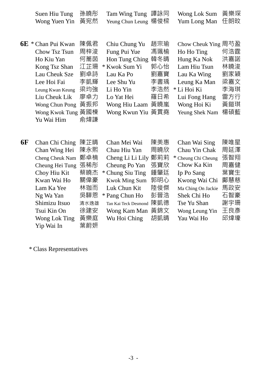|  | Suen Hiu Tung 孫曉彤 Tam Wing Tung 譚詠同 Wong Lok Sum 黃樂琛    |  |
|--|---------------------------------------------------------|--|
|  | Wong Yuen Yin 黃宛然 Yeung Chun Leung 楊俊樑 Yum Long Man 任朗旼 |  |

| Chow Cheuk Ying 周芍盈 |
|---------------------|
| 何浩霆                 |
| 洪嘉諾                 |
| 林曉浚                 |
| 劉家穎                 |
| 梁嘉文                 |
| 李海琪                 |
| 雷方行                 |
| 黃鎧琪                 |
| 楊碩藍                 |
|                     |
|                     |

| <b>6F</b> | Chan Chi Ching  | 陳芷晴  | Chan Mei Wai         | 陳美惠 | Chan Wai Sing       | 陳唯星 |
|-----------|-----------------|------|----------------------|-----|---------------------|-----|
|           | Chan Wing Hei   | 陳永熙  | Chau Hiu Yan         | 周曉欣 | Chau Yin Chak       | 周延澤 |
|           | Cheng Cheuk Nam | 鄭卓楠  | Cheng Li Li Lily     | 鄭莉莉 | * Cheung Chi Cheung | 張智翔 |
|           | Cheung Hei Tung | 張稀彤  | Cheung Po Yan        | 張寶欣 | Chow Ka Kin         | 周嘉健 |
|           | Choy Hiu Kit    | 蔡曉杰  | * Chung Siu Ting     | 鍾肇廷 | Ip Po Sang          | 葉寶生 |
|           | Kwan Wai Ho     | 關偉豪  | <b>Kwok Ming Sum</b> | 郭明心 | Kwong Wai Chi       | 鄺慧慈 |
|           | Lam Ka Yee      | 林珈而  | Luk Chun Kit         | 陸俊傑 | Ma Ching On Jackie  | 馬政安 |
|           | Ng Wa Yan       | 吳驊恩  | * Pang Chun Ho       | 彭晉浩 | Shek Chi Ho         | 石智豪 |
|           | Shimizu Itsuo   | 清水逸雄 | Tan Kai Teck Desmond | 陳凱德 | Tse Yu Shan         | 謝宇珊 |
|           | Tsui Kin On     | 徐建安  | Wong Kam Man 黃錦文     |     | Wong Leung Yin      | 王良彥 |
|           | Wong Lok Ting   | 黃樂庭  | Wu Hoi Ching         | 胡凱晴 | Yau Wai Ho          | 邱煒壕 |
|           | Yip Wai In      | 葉蔚妍  |                      |     |                     |     |
|           |                 |      |                      |     |                     |     |

\* Class Representatives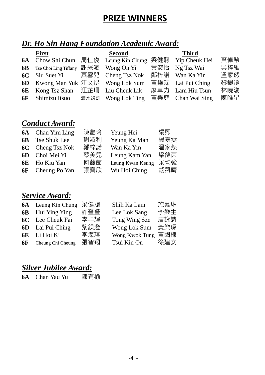### **PRIZE WINNERS**

### *Dr. Ho Sin Hang Foundation Academic Award:*

| <b>First</b>                                                       | <b>Second</b>      | <b>Third</b>      |     |
|--------------------------------------------------------------------|--------------------|-------------------|-----|
| 6A Chow Shi Chun 周仕俊 Leung Kin Chung 梁健聰 Yip Cheuk Hei             |                    |                   | 葉倬希 |
| <b>6B</b> Tse Choi Ling Tiffany                                    | 謝采凌 Wong On Yi 黃安怡 | Ng Tsz Wai        | 吳梓維 |
| 6C Siu Suet Yi 萧雪兒 Cheng Tsz Nok                                   |                    | 鄭梓諾 Wan Ka Yin    | 溫家然 |
| 6D Kwong Man Yuk 江文煜 Wong Lok Sum                                  |                    | 黃樂琛 Lai Pui Ching | 黎鋇澄 |
| <b>6E</b> Kong Tsz Shan $\mathbb{I}$ if $\mathbb{I}$ Liu Cheuk Lik |                    | 廖卓力 Lam Hiu Tsun  | 林曉浚 |
| <b>6F</b> Shimizu Itsuo 清水逸雄 Wong Lok Ting                         |                    | 黃樂庭 Chan Wai Sing | 陳唯星 |

#### *Conduct Award:*

| <b>6A</b> Chan Yim Ling |     | Yeung Hei        | 楊熙  |
|-------------------------|-----|------------------|-----|
| <b>6B</b> Tse Shuk Lee  | 謝淑利 | Yeung Ka Man     | 楊嘉雯 |
| <b>6C</b> Cheng Tsz Nok | 鄭梓諾 | Wan Ka Yin       | 溫家然 |
| <b>6D</b> Choi Mei Yi   | 蔡美兒 | Leung Kam Yan    | 梁錦茵 |
| <b>6E</b> Ho Kiu Yan    | 何蕎茵 | Leung Kwan Keung | 梁均強 |
| <b>6F</b> Cheung Po Yan | 張寶欣 | Wu Hoi Ching     | 胡凱晴 |
|                         |     | 陳艷玲              |     |

#### *Service Award:*

| <b>6A</b> Leung Kin Chung   | 梁健聰 | Shih Ka Lam    | 施嘉琳 |
|-----------------------------|-----|----------------|-----|
| <b>6B</b> Hui Ying Ying     | 許瑩瑩 | Lee Lok Sang   | 李樂生 |
| <b>6C</b> Lee Cheuk Fai     | 李卓輝 | Tong Wing Sze  | 唐詠詩 |
| <b>6D</b> Lai Pui Ching     | 黎鋇澄 | Wong Lok Sum   | 黃樂琛 |
| 6E Li Hoi Ki                | 李海琪 | Wong Kwok Tung | 黃國棟 |
| <b>6F</b> Cheung Chi Cheung | 張智翔 | Tsui Kin On    | 徐建安 |

#### *Silver Jubilee Award:*

**6A** Chan Yau Yu 陳有榆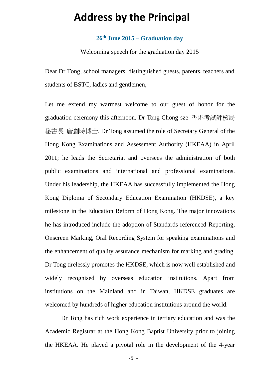### **Address by the Principal**

#### **26th June 2015 – Graduation day**

Welcoming speech for the graduation day 2015

Dear Dr Tong, school managers, distinguished guests, parents, teachers and students of BSTC, ladies and gentlemen,

Let me extend my warmest welcome to our guest of honor for the graduation ceremony this afternoon, Dr Tong Chong-sze 香港考試評核局 秘書長 唐創時博士. Dr Tong assumed the role of Secretary General of the Hong Kong Examinations and Assessment Authority (HKEAA) in April 2011; he leads the Secretariat and oversees the administration of both public examinations and international and professional examinations. Under his leadership, the HKEAA has successfully implemented the Hong Kong Diploma of Secondary Education Examination (HKDSE), a key milestone in the Education Reform of Hong Kong. The major innovations he has introduced include the adoption of Standards-referenced Reporting, Onscreen Marking, Oral Recording System for speaking examinations and the enhancement of quality assurance mechanism for marking and grading. Dr Tong tirelessly promotes the HKDSE, which is now well established and widely recognised by overseas education institutions. Apart from institutions on the Mainland and in Taiwan, HKDSE graduates are welcomed by hundreds of higher education institutions around the world.

Dr Tong has rich work experience in tertiary education and was the Academic Registrar at the Hong Kong Baptist University prior to joining the HKEAA. He played a pivotal role in the development of the 4-year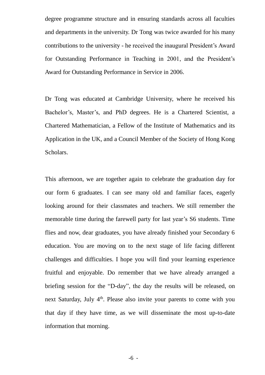degree programme structure and in ensuring standards across all faculties and departments in the university. Dr Tong was twice awarded for his many contributions to the university - he received the inaugural President's Award for Outstanding Performance in Teaching in 2001, and the President's Award for Outstanding Performance in Service in 2006.

Dr Tong was educated at Cambridge University, where he received his Bachelor's, Master's, and PhD degrees. He is a Chartered Scientist, a Chartered Mathematician, a Fellow of the Institute of Mathematics and its Application in the UK, and a Council Member of the Society of Hong Kong Scholars.

This afternoon, we are together again to celebrate the graduation day for our form 6 graduates. I can see many old and familiar faces, eagerly looking around for their classmates and teachers. We still remember the memorable time during the farewell party for last year's S6 students. Time flies and now, dear graduates, you have already finished your Secondary 6 education. You are moving on to the next stage of life facing different challenges and difficulties. I hope you will find your learning experience fruitful and enjoyable. Do remember that we have already arranged a briefing session for the "D-day", the day the results will be released, on next Saturday, July 4<sup>th</sup>. Please also invite your parents to come with you that day if they have time, as we will disseminate the most up-to-date information that morning.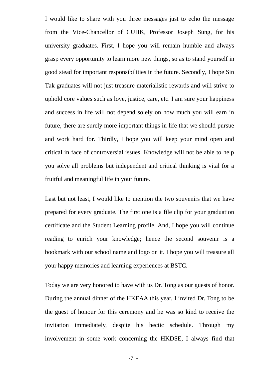I would like to share with you three messages just to echo the message from the Vice-Chancellor of CUHK, Professor Joseph Sung, for his university graduates. First, I hope you will remain humble and always grasp every opportunity to learn more new things, so as to stand yourself in good stead for important responsibilities in the future. Secondly, I hope Sin Tak graduates will not just treasure materialistic rewards and will strive to uphold core values such as love, justice, care, etc. I am sure your happiness and success in life will not depend solely on how much you will earn in future, there are surely more important things in life that we should pursue and work hard for. Thirdly, I hope you will keep your mind open and critical in face of controversial issues. Knowledge will not be able to help you solve all problems but independent and critical thinking is vital for a fruitful and meaningful life in your future.

Last but not least, I would like to mention the two souvenirs that we have prepared for every graduate. The first one is a file clip for your graduation certificate and the Student Learning profile. And, I hope you will continue reading to enrich your knowledge; hence the second souvenir is a bookmark with our school name and logo on it. I hope you will treasure all your happy memories and learning experiences at BSTC.

Today we are very honored to have with us Dr. Tong as our guests of honor. During the annual dinner of the HKEAA this year, I invited Dr. Tong to be the guest of honour for this ceremony and he was so kind to receive the invitation immediately, despite his hectic schedule. Through my involvement in some work concerning the HKDSE, I always find that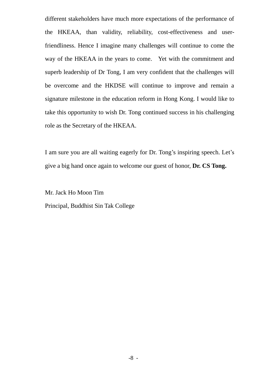different stakeholders have much more expectations of the performance of the HKEAA, than validity, reliability, cost-effectiveness and userfriendliness. Hence I imagine many challenges will continue to come the way of the HKEAA in the years to come. Yet with the commitment and superb leadership of Dr Tong, I am very confident that the challenges will be overcome and the HKDSE will continue to improve and remain a signature milestone in the education reform in Hong Kong. I would like to take this opportunity to wish Dr. Tong continued success in his challenging role as the Secretary of the HKEAA.

I am sure you are all waiting eagerly for Dr. Tong's inspiring speech. Let's give a big hand once again to welcome our guest of honor, **Dr. CS Tong.**

Mr. Jack Ho Moon Tim Principal, Buddhist Sin Tak College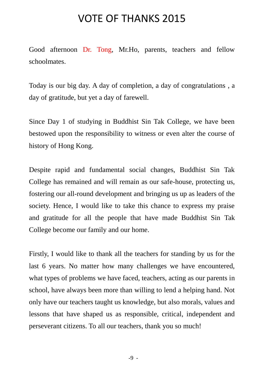### VOTE OF THANKS 2015

Good afternoon Dr. Tong, Mr.Ho, parents, teachers and fellow schoolmates.

Today is our big day. A day of completion, a day of congratulations , a day of gratitude, but yet a day of farewell.

Since Day 1 of studying in Buddhist Sin Tak College, we have been bestowed upon the responsibility to witness or even alter the course of history of Hong Kong.

Despite rapid and fundamental social changes, Buddhist Sin Tak College has remained and will remain as our safe-house, protecting us, fostering our all-round development and bringing us up as leaders of the society. Hence, I would like to take this chance to express my praise and gratitude for all the people that have made Buddhist Sin Tak College become our family and our home.

Firstly, I would like to thank all the teachers for standing by us for the last 6 years. No matter how many challenges we have encountered, what types of problems we have faced, teachers, acting as our parents in school, have always been more than willing to lend a helping hand. Not only have our teachers taught us knowledge, but also morals, values and lessons that have shaped us as responsible, critical, independent and perseverant citizens. To all our teachers, thank you so much!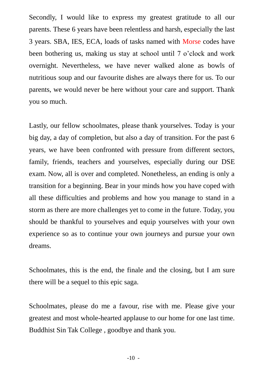Secondly, I would like to express my greatest gratitude to all our parents. These 6 years have been relentless and harsh, especially the last 3 years. SBA, IES, ECA, loads of tasks named with Morse codes have been bothering us, making us stay at school until 7 o'clock and work overnight. Nevertheless, we have never walked alone as bowls of nutritious soup and our favourite dishes are always there for us. To our parents, we would never be here without your care and support. Thank you so much.

Lastly, our fellow schoolmates, please thank yourselves. Today is your big day, a day of completion, but also a day of transition. For the past 6 years, we have been confronted with pressure from different sectors, family, friends, teachers and yourselves, especially during our DSE exam. Now, all is over and completed. Nonetheless, an ending is only a transition for a beginning. Bear in your minds how you have coped with all these difficulties and problems and how you manage to stand in a storm as there are more challenges yet to come in the future. Today, you should be thankful to yourselves and equip yourselves with your own experience so as to continue your own journeys and pursue your own dreams.

Schoolmates, this is the end, the finale and the closing, but I am sure there will be a sequel to this epic saga.

Schoolmates, please do me a favour, rise with me. Please give your greatest and most whole-hearted applause to our home for one last time. Buddhist Sin Tak College , goodbye and thank you.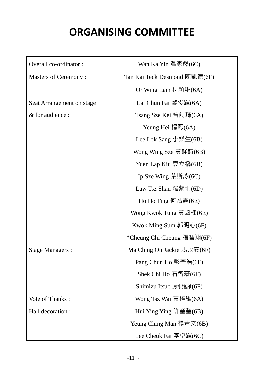## **ORGANISING COMMITTEE**

| Overall co-ordinator:       | Wan Ka Yin 溫家然(6C)           |  |  |
|-----------------------------|------------------------------|--|--|
| <b>Masters of Ceremony:</b> | Tan Kai Teck Desmond 陳凱德(6F) |  |  |
|                             | Or Wing Lam 柯穎琳(6A)          |  |  |
| Seat Arrangement on stage   | Lai Chun Fai 黎俊輝(6A)         |  |  |
| & for audience :            | Tsang Sze Kei 曾詩琦(6A)        |  |  |
|                             | Yeung Hei 楊熙 $(6A)$          |  |  |
|                             | Lee Lok Sang 李樂生(6B)         |  |  |
|                             | Wong Wing Sze 黃詠詩(6B)        |  |  |
|                             | Yuen Lap Kiu 袁立橋(6B)         |  |  |
|                             | Ip Sze Wing 葉斯詠(6C)          |  |  |
|                             | Law Tsz Shan 羅紫珊(6D)         |  |  |
|                             | Ho Ho Ting 何浩霆(6E)           |  |  |
|                             | Wong Kwok Tung 黃國棟(6E)       |  |  |
|                             | Kwok Ming Sum 郭明心(6F)        |  |  |
|                             | *Cheung Chi Cheung 張智翔(6F)   |  |  |
| <b>Stage Managers:</b>      | Ma Ching On Jackie 馬政安(6F)   |  |  |
|                             | Pang Chun Ho 彭晉浩(6F)         |  |  |
|                             | Shek Chi Ho 石智豪(6F)          |  |  |
|                             | Shimizu Itsuo 清水逸雄(6F)       |  |  |
| Vote of Thanks:             | Wong Tsz Wai 黃梓維(6A)         |  |  |
| Hall decoration :           | Hui Ying Ying 許瑩瑩(6B)        |  |  |
|                             | Yeung Ching Man 楊青文(6B)      |  |  |
|                             | Lee Cheuk Fai 李卓輝(6C)        |  |  |